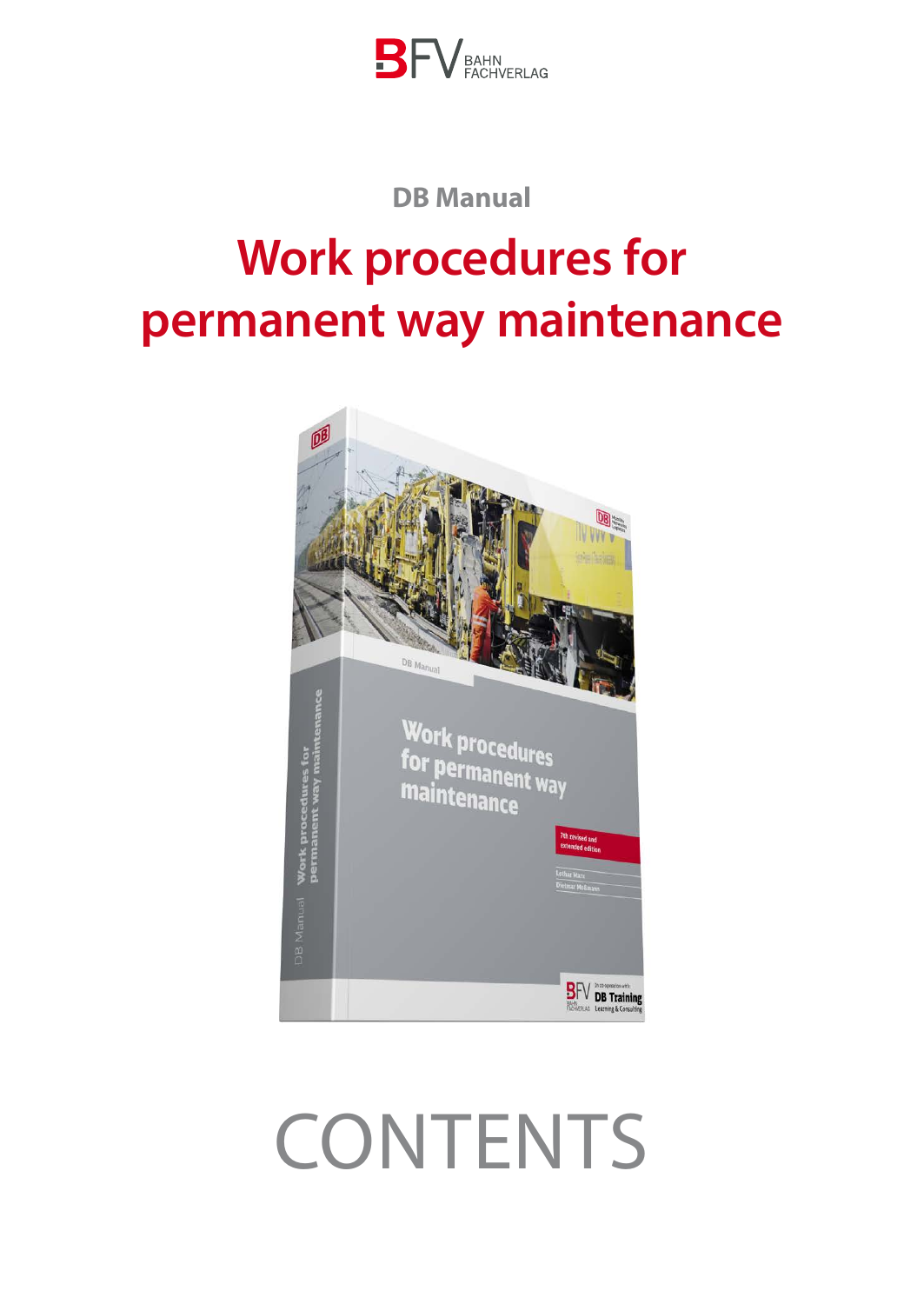

## **DB Manual**

# **Work procedures for permanent way maintenance**



# **CONTENTS**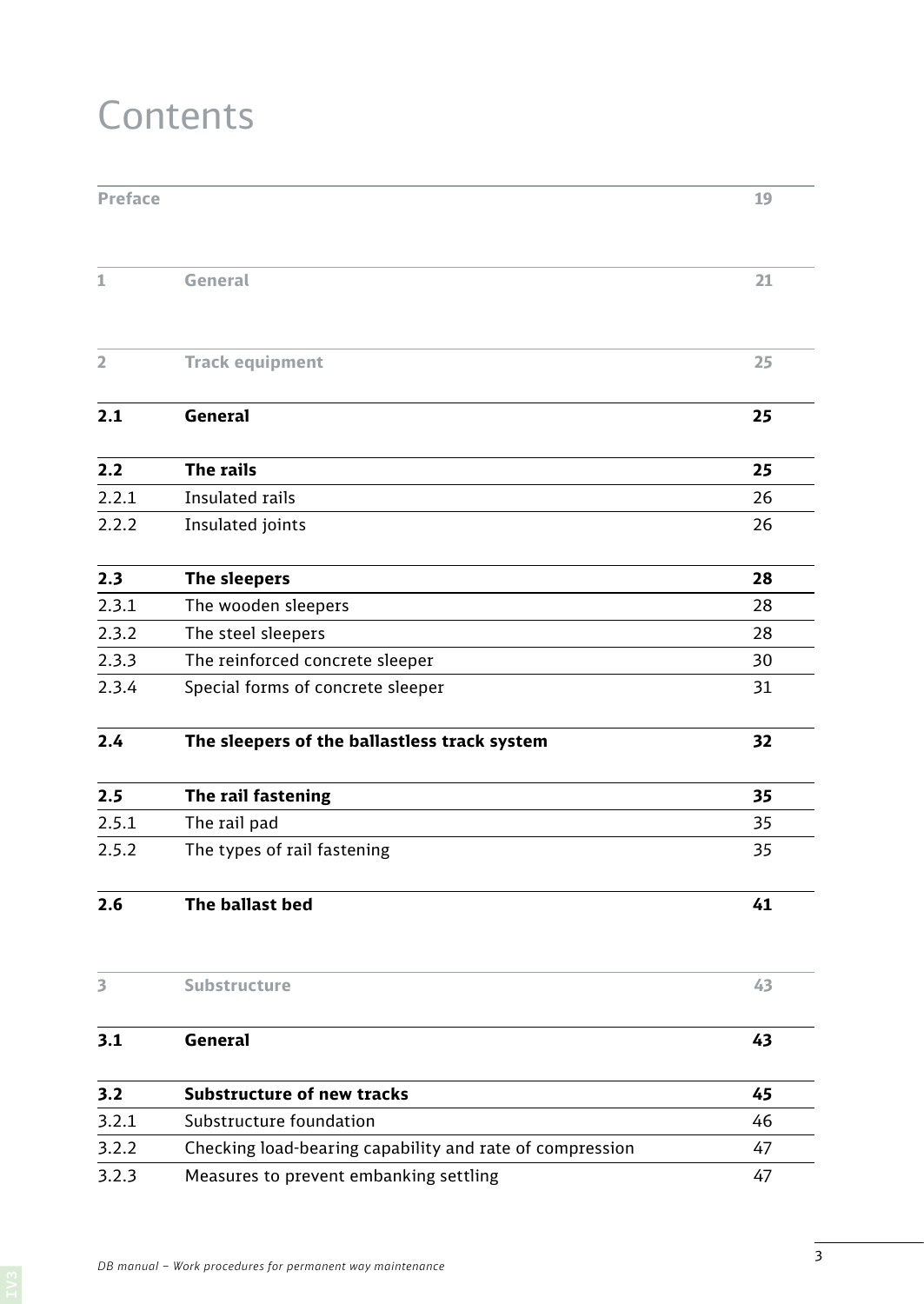## **Contents**

| <b>Preface</b> |                                                          | 19 |
|----------------|----------------------------------------------------------|----|
| 1              | General                                                  | 21 |
|                |                                                          |    |
| 2              | <b>Track equipment</b>                                   | 25 |
| 2.1            | <b>General</b>                                           | 25 |
| 2.2            | The rails                                                | 25 |
| 2.2.1          | <b>Insulated rails</b>                                   | 26 |
| 2.2.2          | Insulated joints                                         | 26 |
| 2.3            | The sleepers                                             | 28 |
| 2.3.1          | The wooden sleepers                                      | 28 |
| 2.3.2          | The steel sleepers                                       | 28 |
| 2.3.3          | The reinforced concrete sleeper                          | 30 |
| 2.3.4          | Special forms of concrete sleeper                        | 31 |
| 2.4            | The sleepers of the ballastless track system             | 32 |
| 2.5            | The rail fastening                                       | 35 |
| 2.5.1          | The rail pad                                             | 35 |
| 2.5.2          | The types of rail fastening                              | 35 |
| 2.6            | The ballast bed                                          | 41 |
| 3              | <b>Substructure</b>                                      | 43 |
| 3.1            | General                                                  | 43 |
| 3.2            | <b>Substructure of new tracks</b>                        | 45 |
| 3.2.1          | Substructure foundation                                  | 46 |
| 3.2.2          | Checking load-bearing capability and rate of compression | 47 |
| 3.2.3          | Measures to prevent embanking settling                   | 47 |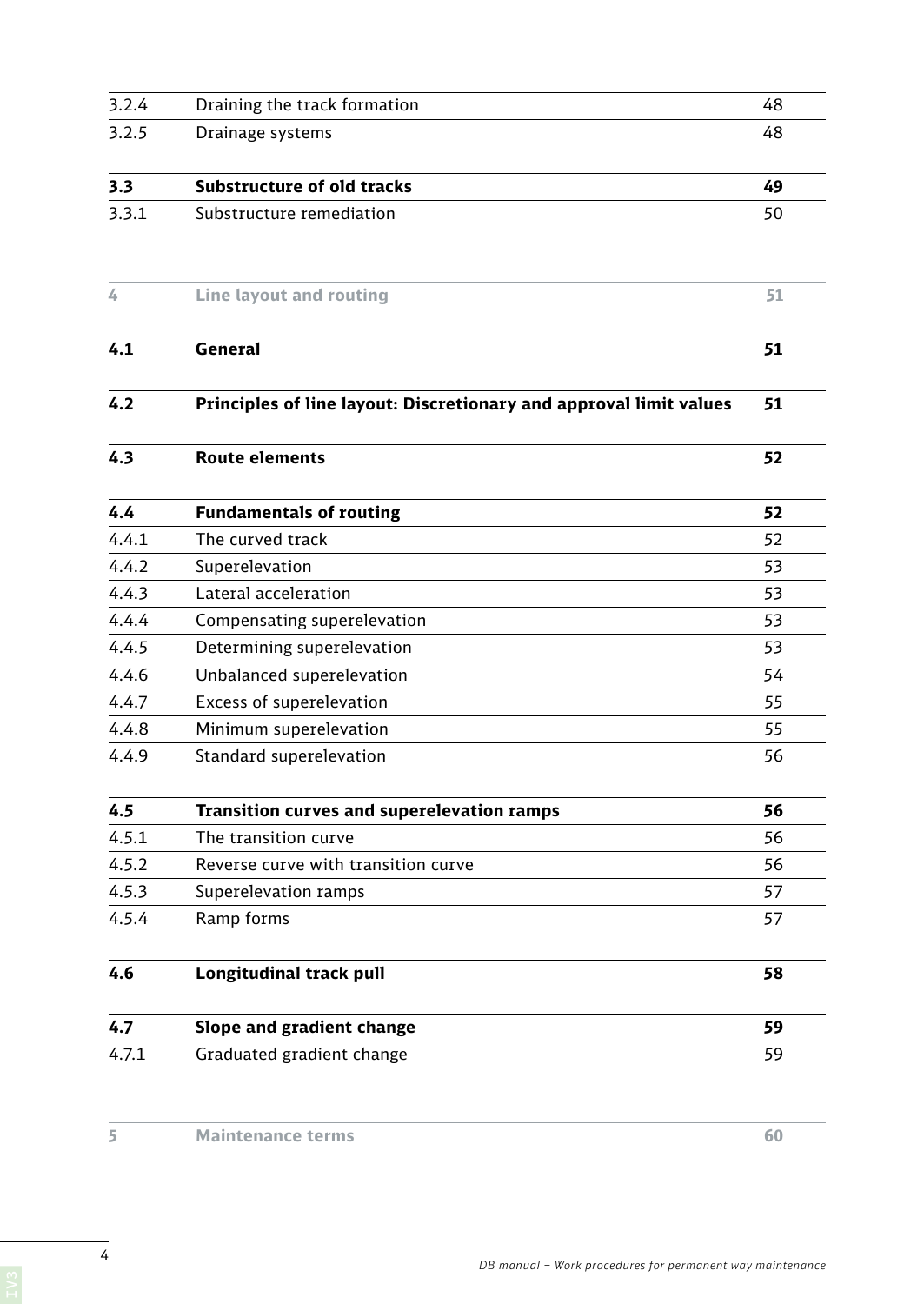| 3.2.4 | Draining the track formation                                       | 48 |
|-------|--------------------------------------------------------------------|----|
| 3.2.5 | Drainage systems                                                   | 48 |
|       |                                                                    |    |
| 3.3   | <b>Substructure of old tracks</b>                                  | 49 |
| 3.3.1 | Substructure remediation                                           | 50 |
| 4     | <b>Line layout and routing</b>                                     | 51 |
| 4.1   | General                                                            | 51 |
| 4.2   | Principles of line layout: Discretionary and approval limit values | 51 |
| 4.3   | <b>Route elements</b>                                              | 52 |
| 4.4   | <b>Fundamentals of routing</b>                                     | 52 |
| 4.4.1 | The curved track                                                   | 52 |
| 4.4.2 | Superelevation                                                     | 53 |
| 4.4.3 | Lateral acceleration                                               | 53 |
| 4.4.4 | Compensating superelevation                                        | 53 |
| 4.4.5 | Determining superelevation                                         | 53 |
| 4.4.6 | Unbalanced superelevation                                          | 54 |
| 4.4.7 | Excess of superelevation                                           | 55 |
| 4.4.8 | Minimum superelevation                                             | 55 |
| 4.4.9 | Standard superelevation                                            | 56 |
| 4.5   | Transition curves and superelevation ramps                         | 56 |
| 4.5.1 | The transition curve                                               | 56 |
| 4.5.2 | Reverse curve with transition curve                                | 56 |
| 4.5.3 | Superelevation ramps                                               | 57 |
| 4.5.4 | Ramp forms                                                         | 57 |
| 4.6   | Longitudinal track pull                                            | 58 |
| 4.7   | Slope and gradient change                                          | 59 |
| 4.7.1 | Graduated gradient change                                          | 59 |

*DB manual – Work procedures for permanent way maintenance*

4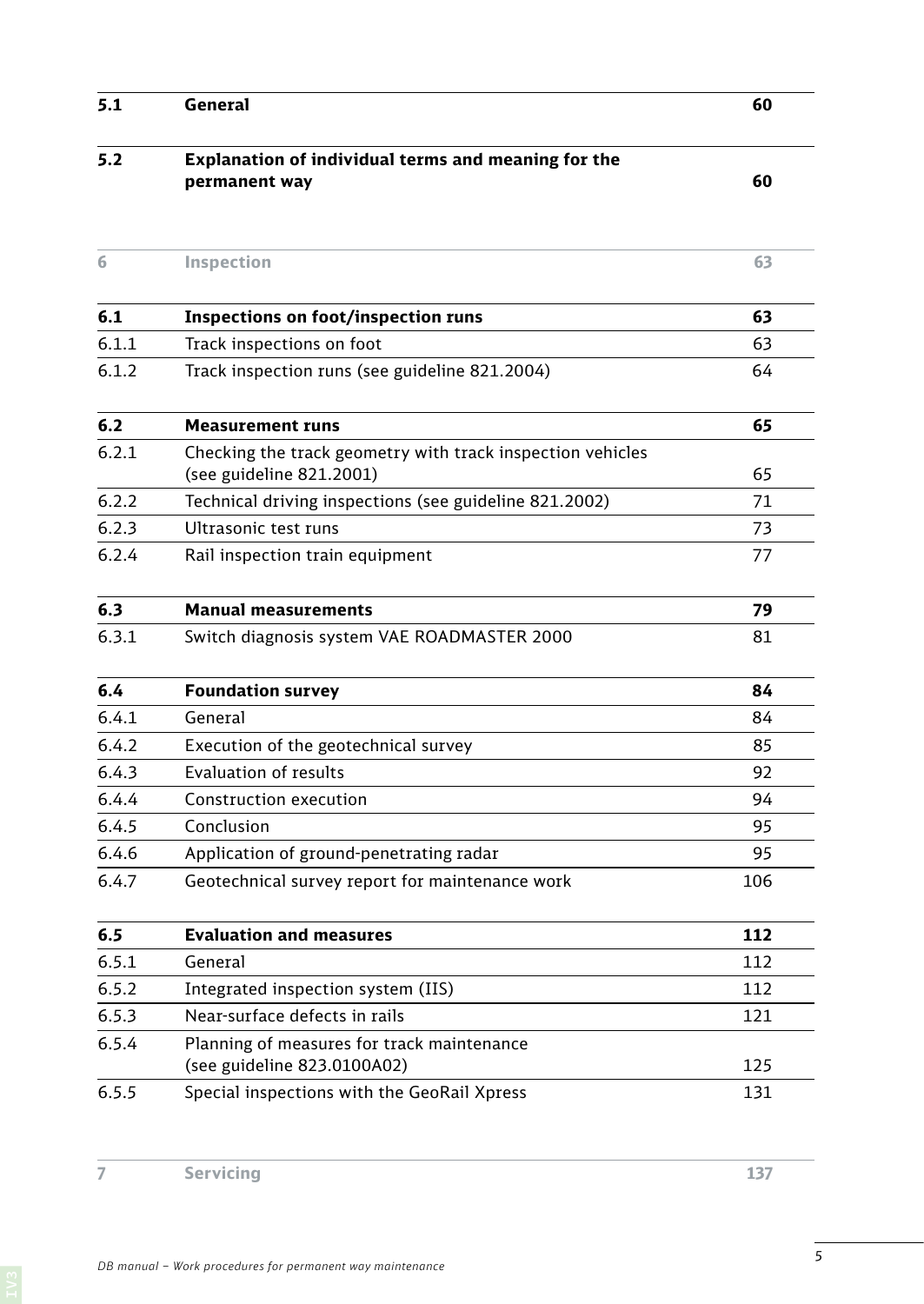| 5.1   | General                                                                                | 60  |
|-------|----------------------------------------------------------------------------------------|-----|
| 5.2   | Explanation of individual terms and meaning for the<br>permanent way                   | 60  |
| 6     | Inspection                                                                             | 63  |
| 6.1   | <b>Inspections on foot/inspection runs</b>                                             | 63  |
| 6.1.1 | Track inspections on foot                                                              | 63  |
| 6.1.2 | Track inspection runs (see guideline 821.2004)                                         | 64  |
| 6.2   | <b>Measurement runs</b>                                                                | 65  |
| 6.2.1 | Checking the track geometry with track inspection vehicles<br>(see guideline 821.2001) | 65  |
| 6.2.2 | Technical driving inspections (see guideline 821.2002)                                 | 71  |
| 6.2.3 | Ultrasonic test runs                                                                   | 73  |
| 6.2.4 | Rail inspection train equipment                                                        | 77  |
| 6.3   | <b>Manual measurements</b>                                                             | 79  |
| 6.3.1 | Switch diagnosis system VAE ROADMASTER 2000                                            | 81  |
| 6.4   | <b>Foundation survey</b>                                                               | 84  |
| 6.4.1 | General                                                                                | 84  |
| 6.4.2 | Execution of the geotechnical survey                                                   | 85  |
| 6.4.3 | <b>Evaluation of results</b>                                                           | 92  |
| 6.4.4 | Construction execution                                                                 | 94  |
| 6.4.5 | Conclusion                                                                             | 95  |
| 6.4.6 | Application of ground-penetrating radar                                                | 95  |
| 6.4.7 | Geotechnical survey report for maintenance work                                        | 106 |
| 6.5   | <b>Evaluation and measures</b>                                                         | 112 |
| 6.5.1 | General                                                                                | 112 |
| 6.5.2 | Integrated inspection system (IIS)                                                     | 112 |
| 6.5.3 | Near-surface defects in rails                                                          | 121 |
| 6.5.4 | Planning of measures for track maintenance<br>(see guideline 823.0100A02)              | 125 |
| 6.5.5 | Special inspections with the GeoRail Xpress                                            | 131 |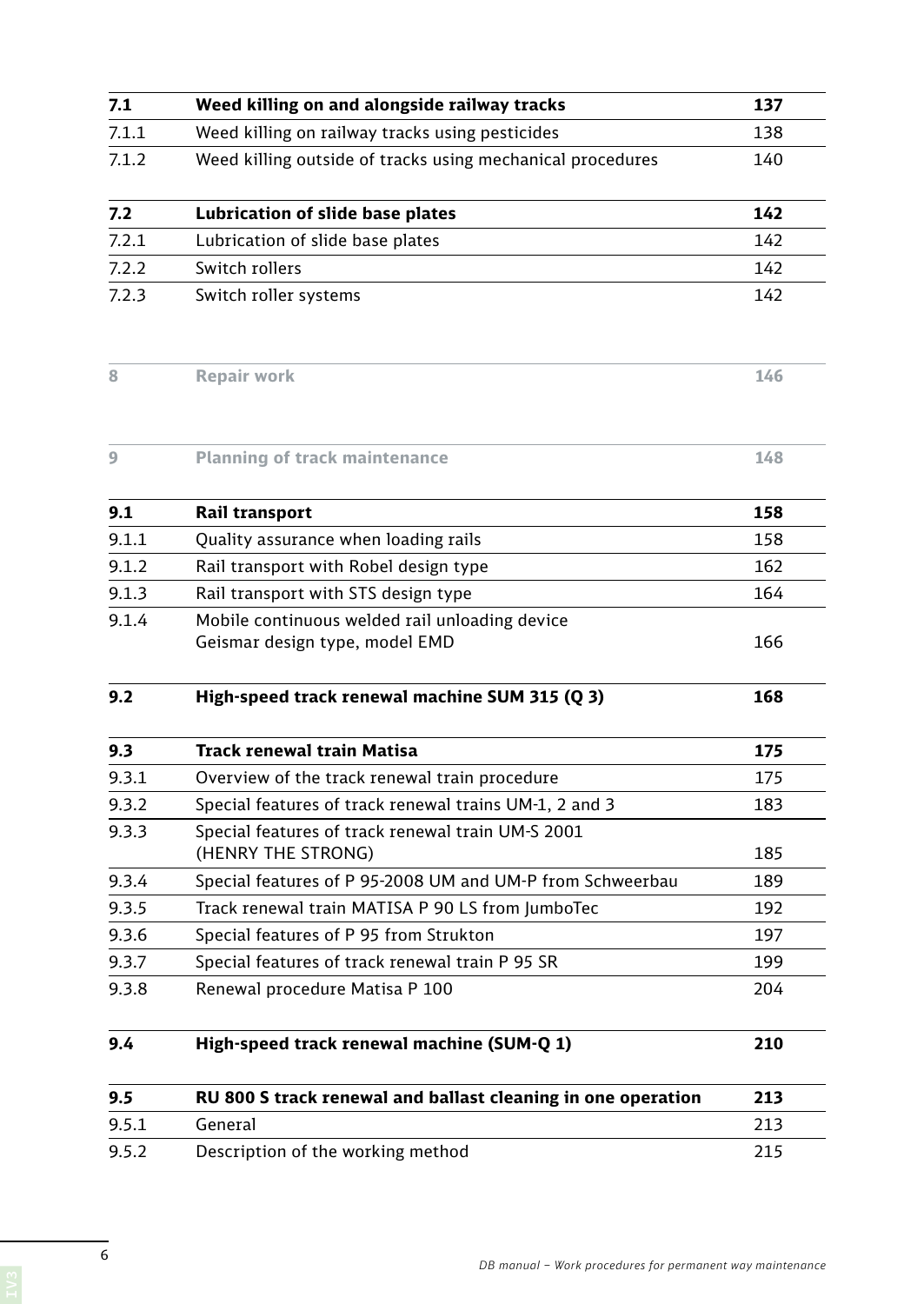| 7.1   | Weed killing on and alongside railway tracks                                     | 137 |
|-------|----------------------------------------------------------------------------------|-----|
| 7.1.1 | Weed killing on railway tracks using pesticides                                  | 138 |
| 7.1.2 | Weed killing outside of tracks using mechanical procedures                       | 140 |
| 7.2   | Lubrication of slide base plates                                                 | 142 |
| 7.2.1 | Lubrication of slide base plates                                                 | 142 |
| 7.2.2 | Switch rollers                                                                   | 142 |
| 7.2.3 | Switch roller systems                                                            | 142 |
| 8     | <b>Repair work</b>                                                               | 146 |
| 9     | <b>Planning of track maintenance</b>                                             | 148 |
| 9.1   | Rail transport                                                                   | 158 |
| 9.1.1 | Quality assurance when loading rails                                             | 158 |
| 9.1.2 | Rail transport with Robel design type                                            | 162 |
| 9.1.3 | Rail transport with STS design type                                              | 164 |
| 9.1.4 | Mobile continuous welded rail unloading device<br>Geismar design type, model EMD | 166 |
| 9.2   | High-speed track renewal machine SUM 315 (Q 3)                                   | 168 |
| 9.3   | <b>Track renewal train Matisa</b>                                                | 175 |
| 9.3.1 | Overview of the track renewal train procedure                                    | 175 |
| 9.3.2 | Special features of track renewal trains UM-1, 2 and 3                           | 183 |
| 9.3.3 | Special features of track renewal train UM-S 2001<br>(HENRY THE STRONG)          | 185 |
| 9.3.4 | Special features of P 95-2008 UM and UM-P from Schweerbau                        | 189 |
| 9.3.5 | Track renewal train MATISA P 90 LS from JumboTec                                 | 192 |
| 9.3.6 | Special features of P 95 from Strukton                                           | 197 |
| 9.3.7 | Special features of track renewal train P 95 SR                                  | 199 |
| 9.3.8 | Renewal procedure Matisa P 100                                                   | 204 |
| 9.4   | High-speed track renewal machine (SUM-Q 1)                                       | 210 |
| 9.5   | RU 800 S track renewal and ballast cleaning in one operation                     | 213 |
| 9.5.1 | General                                                                          | 213 |
| 9.5.2 | Description of the working method                                                | 215 |

6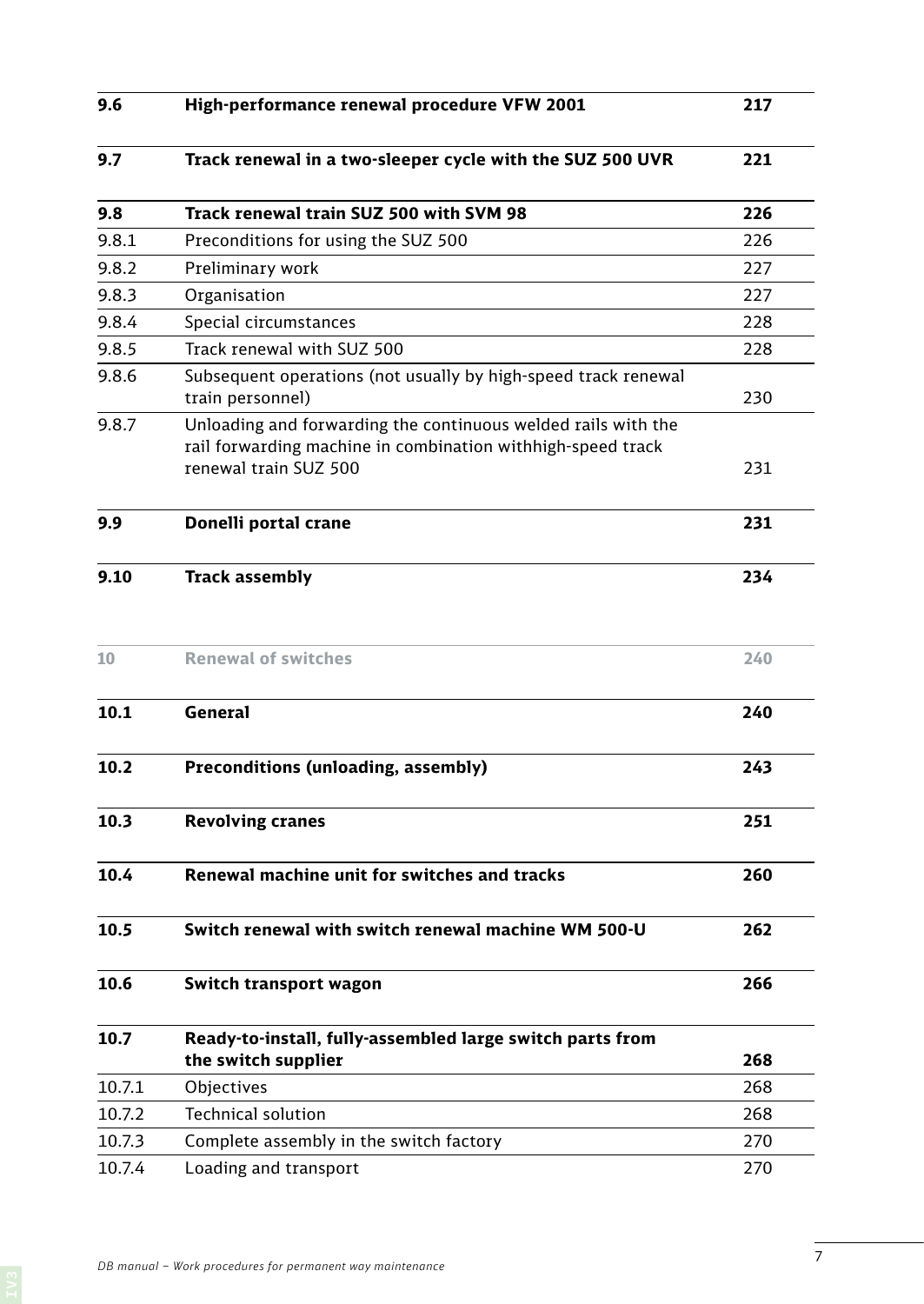| 9.6    | High-performance renewal procedure VFW 2001                                                                                                           | 217 |
|--------|-------------------------------------------------------------------------------------------------------------------------------------------------------|-----|
| 9.7    | Track renewal in a two-sleeper cycle with the SUZ 500 UVR                                                                                             | 221 |
| 9.8    | Track renewal train SUZ 500 with SVM 98                                                                                                               | 226 |
| 9.8.1  | Preconditions for using the SUZ 500                                                                                                                   | 226 |
| 9.8.2  | Preliminary work                                                                                                                                      | 227 |
| 9.8.3  | Organisation                                                                                                                                          | 227 |
| 9.8.4  | Special circumstances                                                                                                                                 | 228 |
| 9.8.5  | Track renewal with SUZ 500                                                                                                                            | 228 |
| 9.8.6  | Subsequent operations (not usually by high-speed track renewal<br>train personnel)                                                                    | 230 |
| 9.8.7  | Unloading and forwarding the continuous welded rails with the<br>rail forwarding machine in combination withhigh-speed track<br>renewal train SUZ 500 | 231 |
| 9.9    | Donelli portal crane                                                                                                                                  | 231 |
| 9.10   | <b>Track assembly</b>                                                                                                                                 | 234 |
| 10     | <b>Renewal of switches</b>                                                                                                                            | 240 |
| 10.1   | <b>General</b>                                                                                                                                        | 240 |
| 10.2   | Preconditions (unloading, assembly)                                                                                                                   | 243 |
| 10.3   | <b>Revolving cranes</b>                                                                                                                               | 251 |
| 10.4   | Renewal machine unit for switches and tracks                                                                                                          | 260 |
| 10.5   | Switch renewal with switch renewal machine WM 500-U                                                                                                   | 262 |
| 10.6   | Switch transport wagon                                                                                                                                | 266 |
| 10.7   | Ready-to-install, fully-assembled large switch parts from                                                                                             |     |
|        | the switch supplier                                                                                                                                   | 268 |
| 10.7.1 | Objectives<br><b>Technical solution</b>                                                                                                               | 268 |
| 10.7.2 |                                                                                                                                                       | 268 |
| 10.7.3 | Complete assembly in the switch factory                                                                                                               | 270 |
| 10.7.4 | Loading and transport                                                                                                                                 | 270 |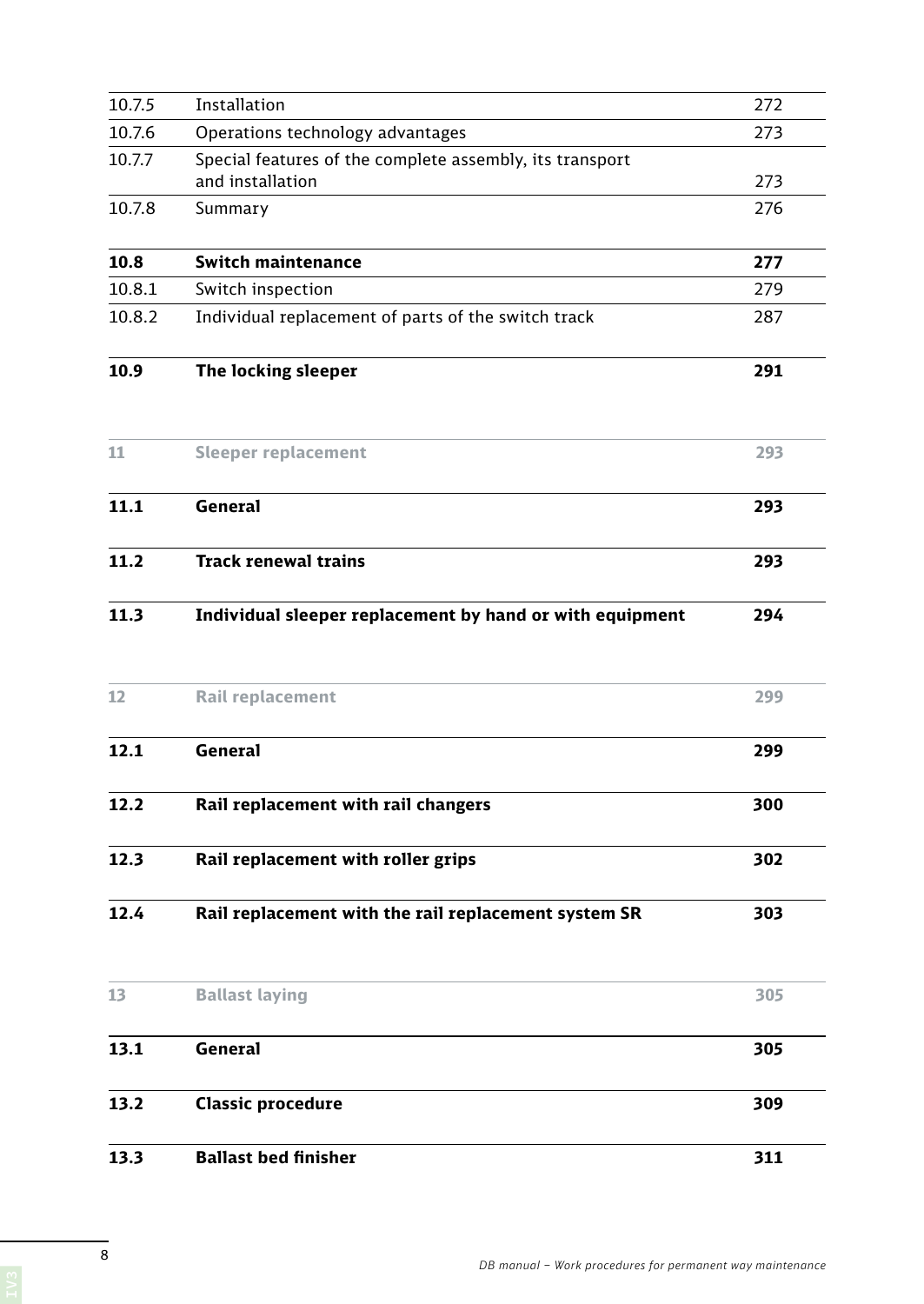| 13.2   | General<br><b>Classic procedure</b>                                          | 305<br>309 |
|--------|------------------------------------------------------------------------------|------------|
|        |                                                                              |            |
| 13.1   |                                                                              |            |
| 13     | <b>Ballast laying</b>                                                        | 305        |
| 12.4   | Rail replacement with the rail replacement system SR                         | 303        |
| 12.3   | Rail replacement with roller grips                                           | 302        |
| 12.2   | Rail replacement with rail changers                                          | 300        |
| 12.1   | <b>General</b>                                                               | 299        |
| 12     | Rail replacement                                                             | 299        |
| 11.3   | Individual sleeper replacement by hand or with equipment                     | 294        |
| 11.2   | <b>Track renewal trains</b>                                                  | 293        |
| 11.1   | <b>General</b>                                                               | 293        |
| 11     | <b>Sleeper replacement</b>                                                   | 293        |
| 10.9   | The locking sleeper                                                          | 291        |
| 10.8.2 | Individual replacement of parts of the switch track                          | 287        |
| 10.8.1 | Switch inspection                                                            | 279        |
| 10.8   | <b>Switch maintenance</b>                                                    | 277        |
| 10.7.8 | Summary                                                                      | 276        |
| 10.7.7 | Special features of the complete assembly, its transport<br>and installation | 273        |
| 10.7.6 | Operations technology advantages                                             | 273        |
| 10.7.5 | Installation                                                                 | 272        |
|        |                                                                              |            |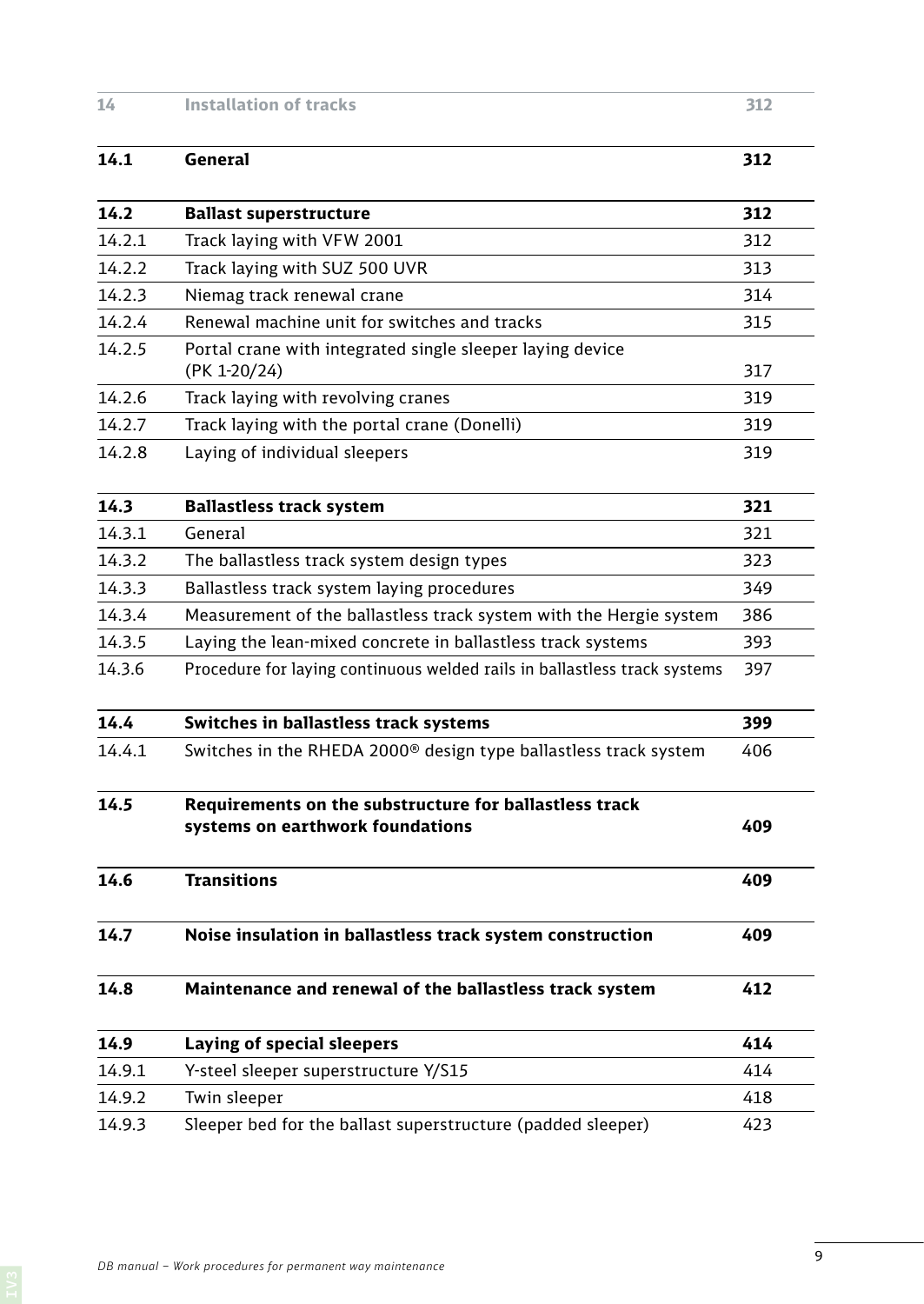## **14 Installation of tracks 312**

## **14.1 General 312 14.2 Ballast superstructure 312** 14.2.1 Track laying with VFW 2001 312 14.2.2 Track laying with SUZ 500 UVR 313 14.2.3 Niemag track renewal crane 314 14.2.4 Renewal machine unit for switches and tracks 315 14.2.5 Portal crane with integrated single sleeper laying device (PK 1-20/24) 317 14.2.6 Track laying with revolving cranes 319 14.2.7 Track laying with the portal crane (Donelli) 319 14.2.8 Laying of individual sleepers 319 **14.3 Ballastless track system 321** 14.3.1 General 321 14.3.2 The ballastless track system design types 323 14.3.3 Ballastless track system laying procedures 349 14.3.4 Measurement of the ballastless track system with the Hergie system 386 14.3.5 Laying the lean-mixed concrete in ballastless track systems 393 14.3.6 Procedure for laying continuous welded rails in ballastless track systems 397 **14.4 Switches in ballastless track systems 399** 14.4.1 Switches in the RHEDA 2000<sup>®</sup> design type ballastless track system 406 **14.5 Requirements on the substructure for ballastless track systems on earthwork foundations 409 14.6 Transitions 409 14.7 Noise insulation in ballastless track system construction 409 14.8 Maintenance and renewal of the ballastless track system 412 14.9 Laying of special sleepers 414** 14.9.1 Y-steel sleeper superstructure Y/S15 414 14.9.2 Twin sleeper and the set of the set of the set of the set of the set of the set of the set of the set of the set of the set of the set of the set of the set of the set of the set of the set of the set of the set of 14.9.3 Sleeper bed for the ballast superstructure (padded sleeper) 423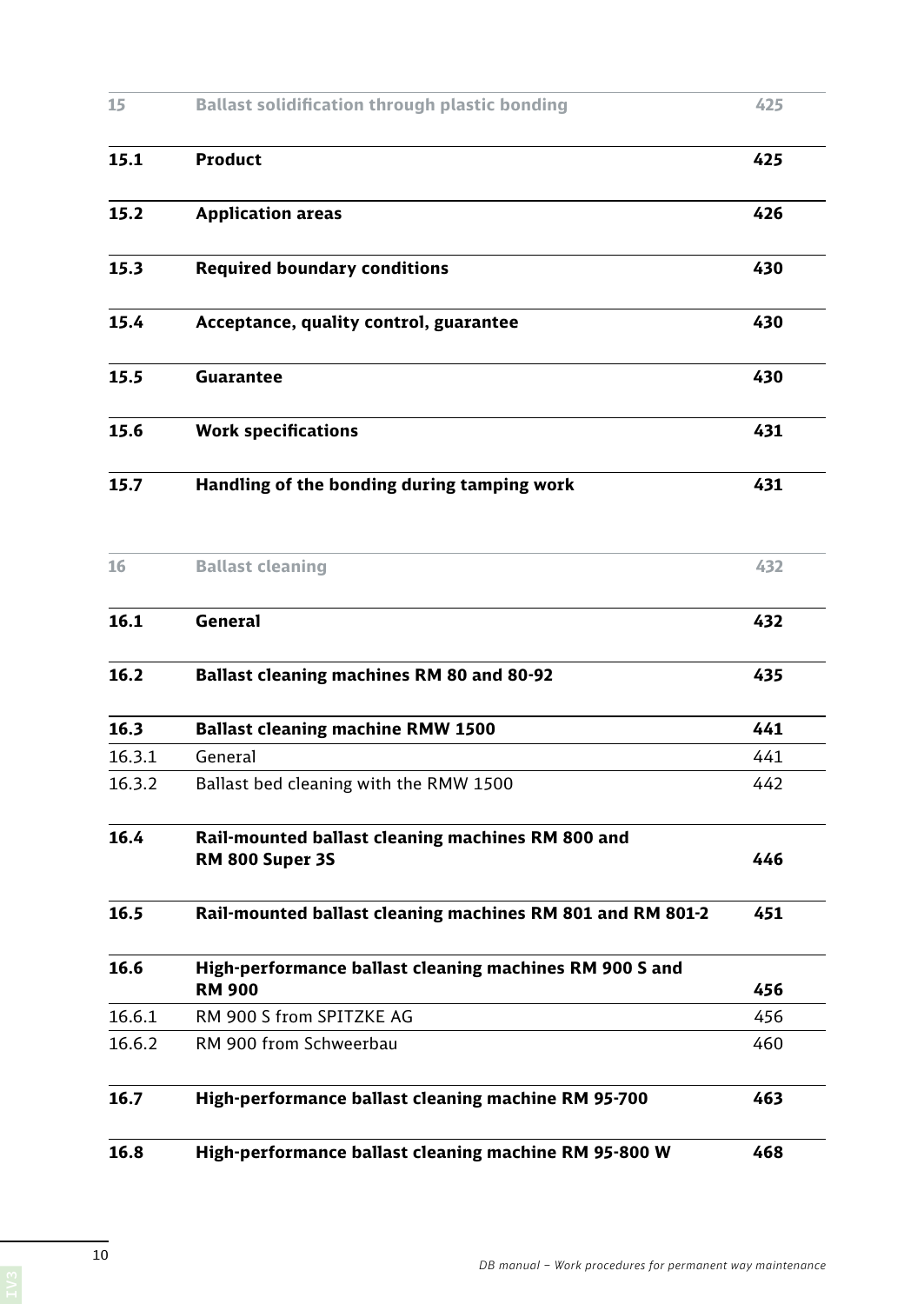| 16.3.2 | Ballast bed cleaning with the RMW 1500                | 442 |
|--------|-------------------------------------------------------|-----|
| 16.3.1 | General                                               | 441 |
| 16.3   | <b>Ballast cleaning machine RMW 1500</b>              | 441 |
| 16.2   | Ballast cleaning machines RM 80 and 80-92             | 435 |
| 16.1   | <b>General</b>                                        | 432 |
| 16     | <b>Ballast cleaning</b>                               | 432 |
|        |                                                       |     |
| 15.7   | Handling of the bonding during tamping work           | 431 |
| 15.6   | <b>Work specifications</b>                            | 431 |
| 15.5   | Guarantee                                             | 430 |
| 15.4   | Acceptance, quality control, guarantee                | 430 |
| 15.3   | <b>Required boundary conditions</b>                   | 430 |
| 15.2   | <b>Application areas</b>                              | 426 |
| 15.1   | Product                                               | 425 |
| 15     | <b>Ballast solidification through plastic bonding</b> | 425 |
|        |                                                       |     |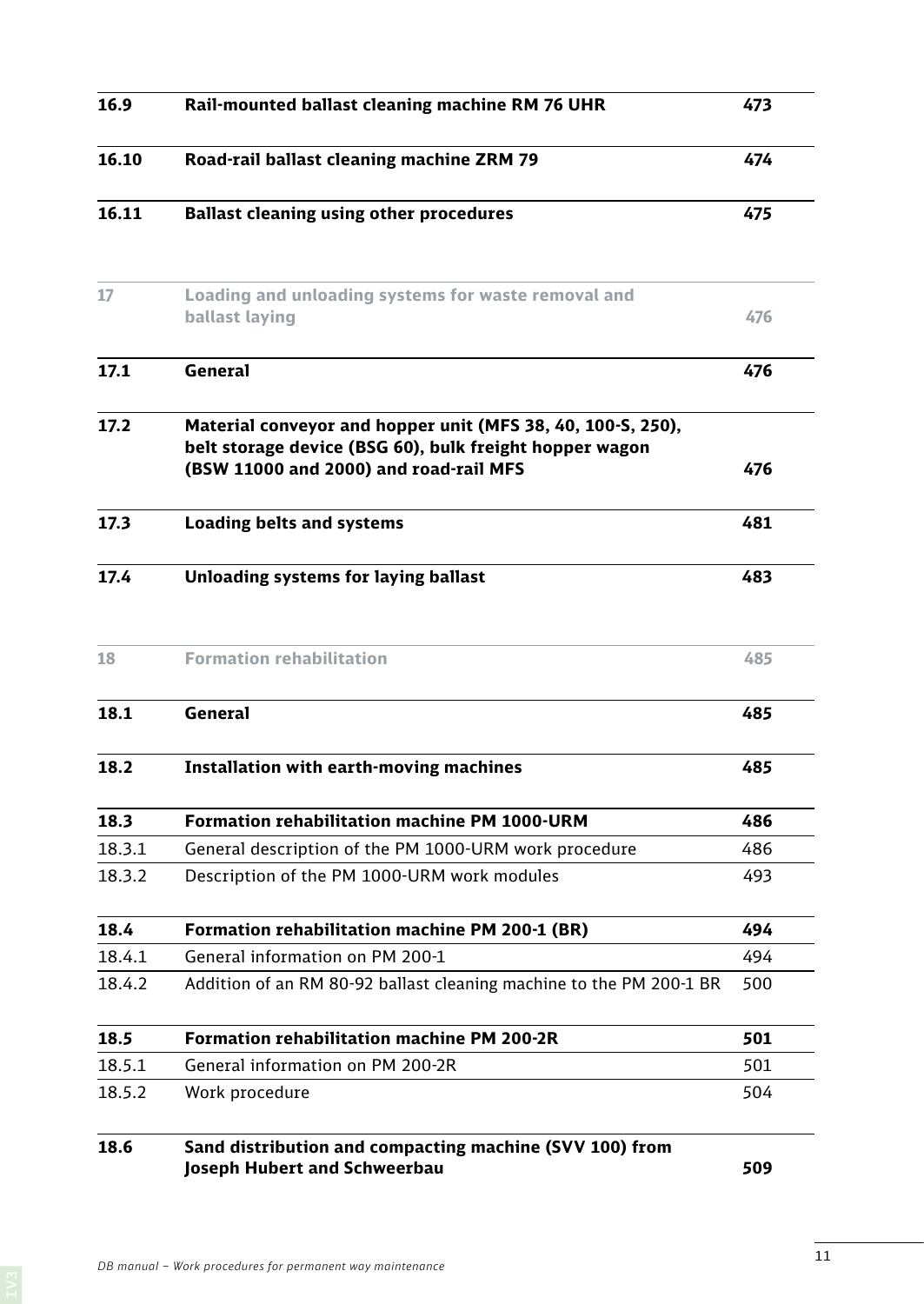| 16.9   | Rail-mounted ballast cleaning machine RM 76 UHR                                                                                                                  | 473 |
|--------|------------------------------------------------------------------------------------------------------------------------------------------------------------------|-----|
| 16.10  | Road-rail ballast cleaning machine ZRM 79                                                                                                                        | 474 |
| 16.11  | <b>Ballast cleaning using other procedures</b>                                                                                                                   | 475 |
| 17     | Loading and unloading systems for waste removal and<br>ballast laying                                                                                            | 476 |
| 17.1   | General                                                                                                                                                          | 476 |
| 17.2   | Material conveyor and hopper unit (MFS 38, 40, 100-S, 250),<br>belt storage device (BSG 60), bulk freight hopper wagon<br>(BSW 11000 and 2000) and road-rail MFS | 476 |
| 17.3   | <b>Loading belts and systems</b>                                                                                                                                 | 481 |
| 17.4   | Unloading systems for laying ballast                                                                                                                             | 483 |
| 18     | <b>Formation rehabilitation</b>                                                                                                                                  | 485 |
| 18.1   | General                                                                                                                                                          | 485 |
| 18.2   | Installation with earth-moving machines                                                                                                                          | 485 |
| 18.3   | <b>Formation rehabilitation machine PM 1000-URM</b>                                                                                                              | 486 |
| 18.3.1 | General description of the PM 1000-URM work procedure                                                                                                            | 486 |
| 18.3.2 | Description of the PM 1000-URM work modules                                                                                                                      | 493 |
| 18.4   | Formation rehabilitation machine PM 200-1 (BR)                                                                                                                   | 494 |
| 18.4.1 | General information on PM 200-1                                                                                                                                  | 494 |
| 18.4.2 | Addition of an RM 80-92 ballast cleaning machine to the PM 200-1 BR                                                                                              | 500 |
| 18.5   | <b>Formation rehabilitation machine PM 200-2R</b>                                                                                                                | 501 |
| 18.5.1 | General information on PM 200-2R                                                                                                                                 | 501 |
| 18.5.2 | Work procedure                                                                                                                                                   | 504 |
| 18.6   | Sand distribution and compacting machine (SVV 100) from<br>Joseph Hubert and Schweerbau                                                                          | 509 |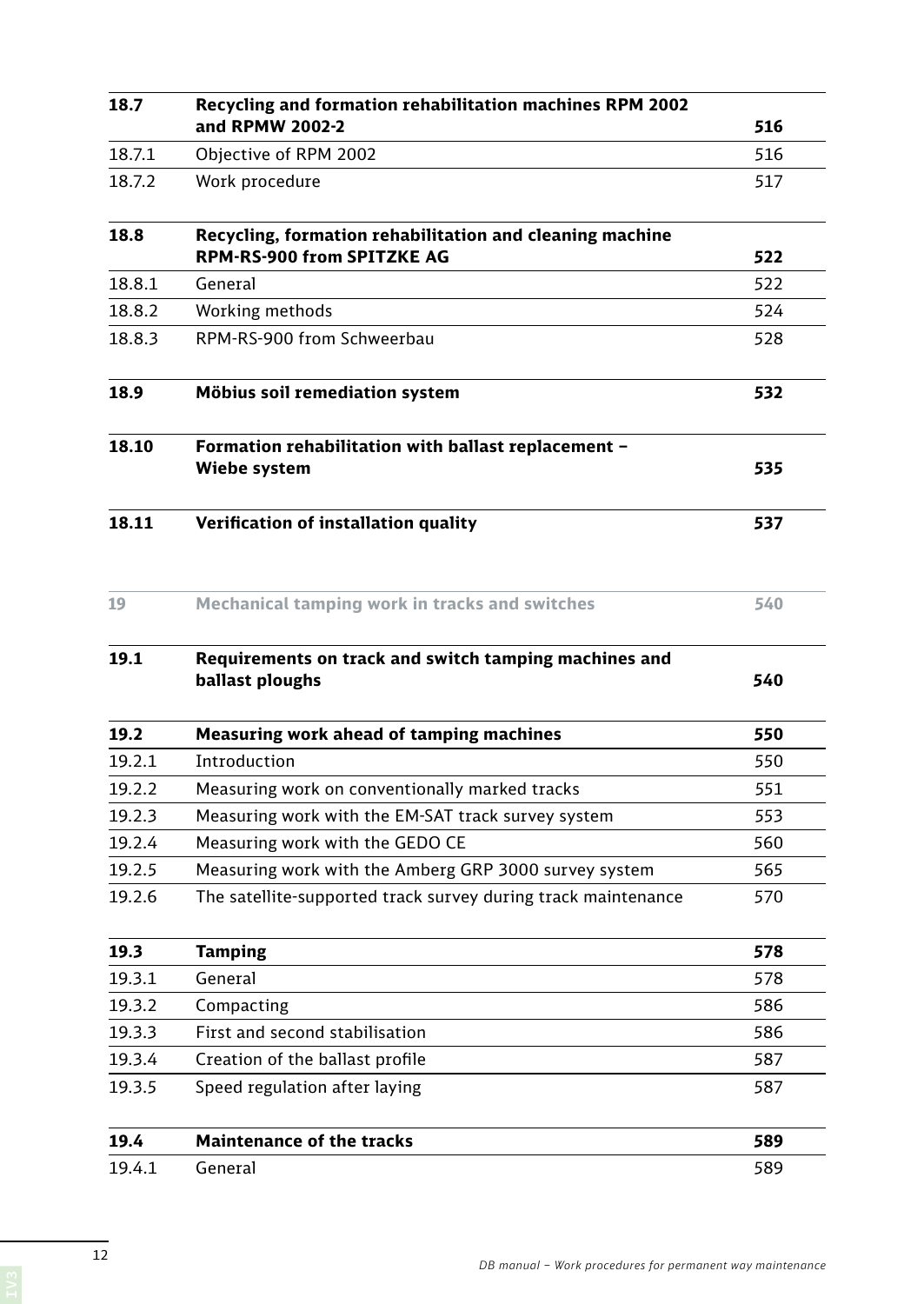| 18.7   | Recycling and formation rehabilitation machines RPM 2002                 |     |
|--------|--------------------------------------------------------------------------|-----|
|        | and RPMW 2002-2                                                          | 516 |
| 18.7.1 | Objective of RPM 2002                                                    | 516 |
| 18.7.2 | Work procedure                                                           | 517 |
| 18.8   | Recycling, formation rehabilitation and cleaning machine                 |     |
|        | <b>RPM-RS-900 from SPITZKE AG</b>                                        | 522 |
| 18.8.1 | General                                                                  | 522 |
| 18.8.2 | Working methods                                                          | 524 |
| 18.8.3 | RPM-RS-900 from Schweerbau                                               | 528 |
| 18.9   | Möbius soil remediation system                                           | 532 |
| 18.10  | Formation rehabilitation with ballast replacement -<br>Wiebe system      | 535 |
| 18.11  | Verification of installation quality                                     | 537 |
| 19     | <b>Mechanical tamping work in tracks and switches</b>                    | 540 |
| 19.1   | Requirements on track and switch tamping machines and<br>ballast ploughs | 540 |
| 19.2   | <b>Measuring work ahead of tamping machines</b>                          | 550 |
| 19.2.1 | Introduction                                                             | 550 |
| 19.2.2 | Measuring work on conventionally marked tracks                           | 551 |
| 19.2.3 | Measuring work with the EM-SAT track survey system                       | 553 |
| 19.2.4 | Measuring work with the GEDO CE                                          | 560 |
| 19.2.5 | Measuring work with the Amberg GRP 3000 survey system                    | 565 |
| 19.2.6 | The satellite-supported track survey during track maintenance            | 570 |
| 19.3   | <b>Tamping</b>                                                           | 578 |
| 19.3.1 | General                                                                  | 578 |
| 19.3.2 | Compacting                                                               | 586 |
| 19.3.3 | First and second stabilisation                                           | 586 |
| 19.3.4 | Creation of the ballast profile                                          | 587 |
| 19.3.5 | Speed regulation after laying                                            | 587 |
| 19.4   | <b>Maintenance of the tracks</b>                                         | 589 |
| 19.4.1 | General                                                                  | 589 |

12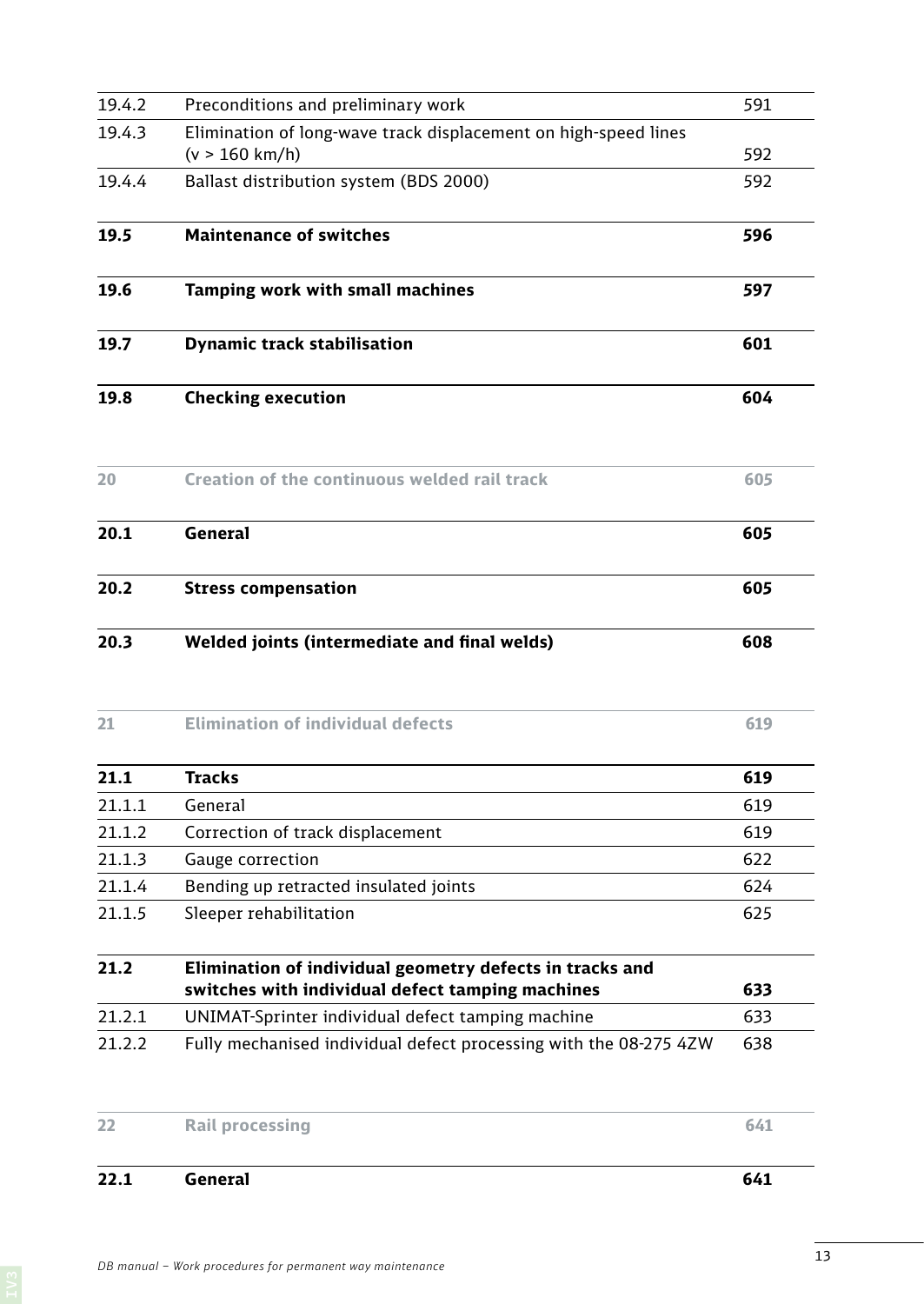| 19.5   | <b>Maintenance of switches</b>                                                                               | 596 |
|--------|--------------------------------------------------------------------------------------------------------------|-----|
| 19.6   | Tamping work with small machines                                                                             | 597 |
| 19.7   | <b>Dynamic track stabilisation</b>                                                                           | 601 |
| 19.8   | <b>Checking execution</b>                                                                                    | 604 |
| 20     | Creation of the continuous welded rail track                                                                 | 605 |
| 20.1   | <b>General</b>                                                                                               | 605 |
| 20.2   | <b>Stress compensation</b>                                                                                   | 605 |
| 20.3   | Welded joints (intermediate and final welds)                                                                 | 608 |
| 21     | <b>Elimination of individual defects</b>                                                                     | 619 |
| 21.1   | <b>Tracks</b>                                                                                                | 619 |
| 21.1.1 | General                                                                                                      | 619 |
| 21.1.2 | Correction of track displacement                                                                             | 619 |
| 21.1.3 | Gauge correction                                                                                             | 622 |
| 21.1.4 | Bending up retracted insulated joints                                                                        | 624 |
| 21.1.5 | Sleeper rehabilitation                                                                                       | 625 |
| 21.2   | Elimination of individual geometry defects in tracks and<br>switches with individual defect tamping machines | 633 |
| 21.2.1 | UNIMAT-Sprinter individual defect tamping machine                                                            | 633 |
| 21.2.2 | Fully mechanised individual defect processing with the 08-275 4ZW                                            | 638 |
|        | <b>Rail processing</b>                                                                                       | 641 |
| 22     |                                                                                                              |     |

19.4.2 Preconditions and preliminary work 591

19.4.4 Ballast distribution system (BDS 2000) 592

 $(v > 160 \text{ km/h})$  592

19.4.3 Elimination of long-wave track displacement on high-speed lines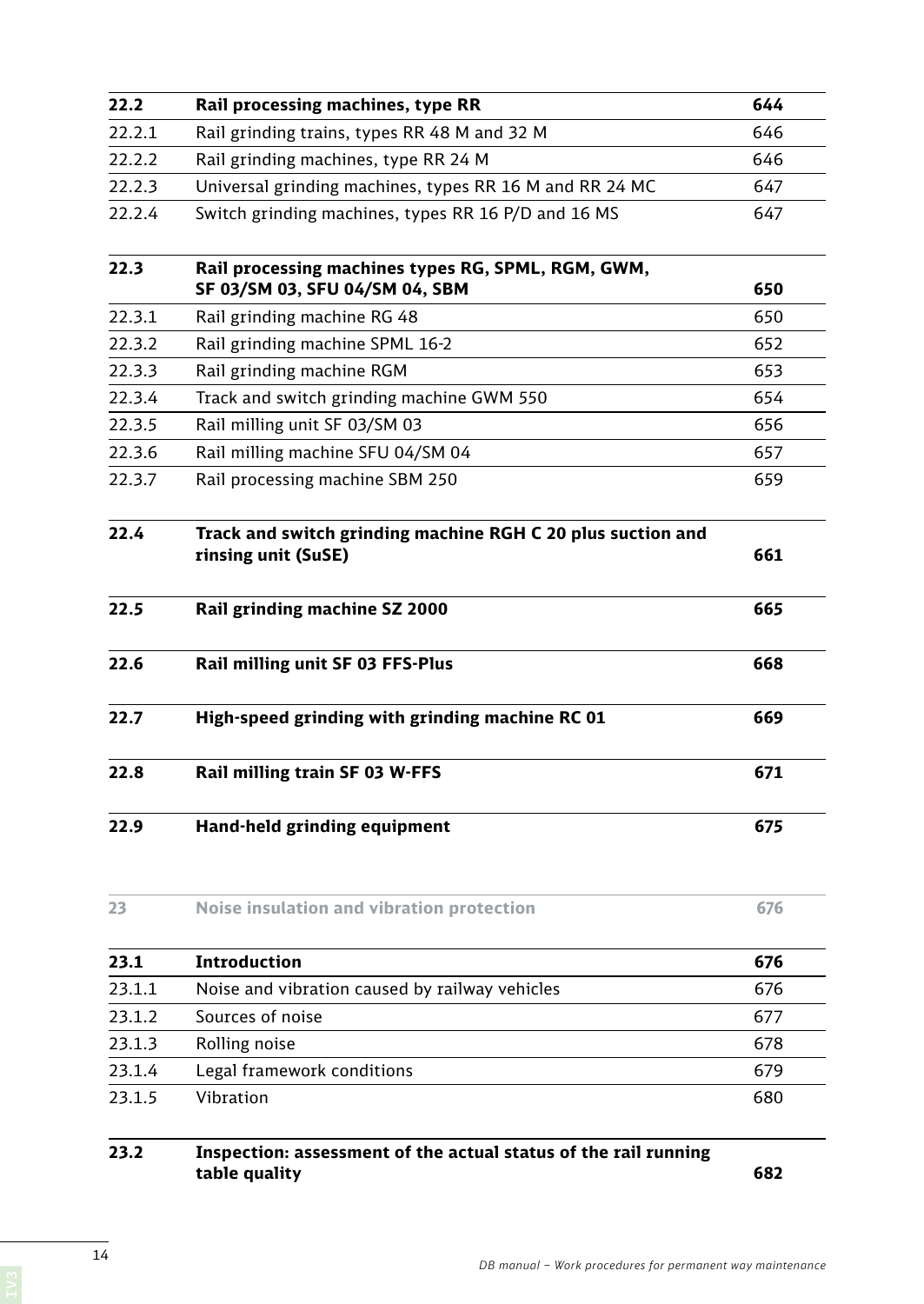| 22.2   | Rail processing machines, type RR                                                    | 644 |
|--------|--------------------------------------------------------------------------------------|-----|
| 22.2.1 | Rail grinding trains, types RR 48 M and 32 M                                         | 646 |
| 22.2.2 | Rail grinding machines, type RR 24 M                                                 | 646 |
| 22.2.3 | Universal grinding machines, types RR 16 M and RR 24 MC                              | 647 |
| 22.2.4 | Switch grinding machines, types RR 16 P/D and 16 MS                                  | 647 |
| 22.3   | Rail processing machines types RG, SPML, RGM, GWM,<br>SF 03/SM 03, SFU 04/SM 04, SBM | 650 |
| 22.3.1 | Rail grinding machine RG 48                                                          | 650 |
| 22.3.2 | Rail grinding machine SPML 16-2                                                      | 652 |
| 22.3.3 | Rail grinding machine RGM                                                            | 653 |
| 22.3.4 | Track and switch grinding machine GWM 550                                            | 654 |
| 22.3.5 | Rail milling unit SF 03/SM 03                                                        | 656 |
| 22.3.6 | Rail milling machine SFU 04/SM 04                                                    | 657 |
| 22.3.7 | Rail processing machine SBM 250                                                      | 659 |
| 22.4   | Track and switch grinding machine RGH C 20 plus suction and<br>rinsing unit (SuSE)   | 661 |
| 22.5   | Rail grinding machine SZ 2000                                                        | 665 |
| 22.6   | Rail milling unit SF 03 FFS-Plus                                                     | 668 |
| 22.7   | High-speed grinding with grinding machine RC 01                                      | 669 |
| 22.8   | Rail milling train SF 03 W-FFS                                                       | 671 |
| 22.9   | Hand-held grinding equipment                                                         | 675 |
| 23     | <b>Noise insulation and vibration protection</b>                                     | 676 |
| 23.1   | Introduction                                                                         | 676 |
| 23.1.1 | Noise and vibration caused by railway vehicles                                       | 676 |
| 23.1.2 | Sources of noise                                                                     | 677 |
| 23.1.3 | Rolling noise                                                                        | 678 |
| 23.1.4 | Legal framework conditions                                                           | 679 |
| 23.1.5 | Vibration                                                                            | 680 |
| 23.2   | Inspection: assessment of the actual status of the rail running<br>table quality     | 682 |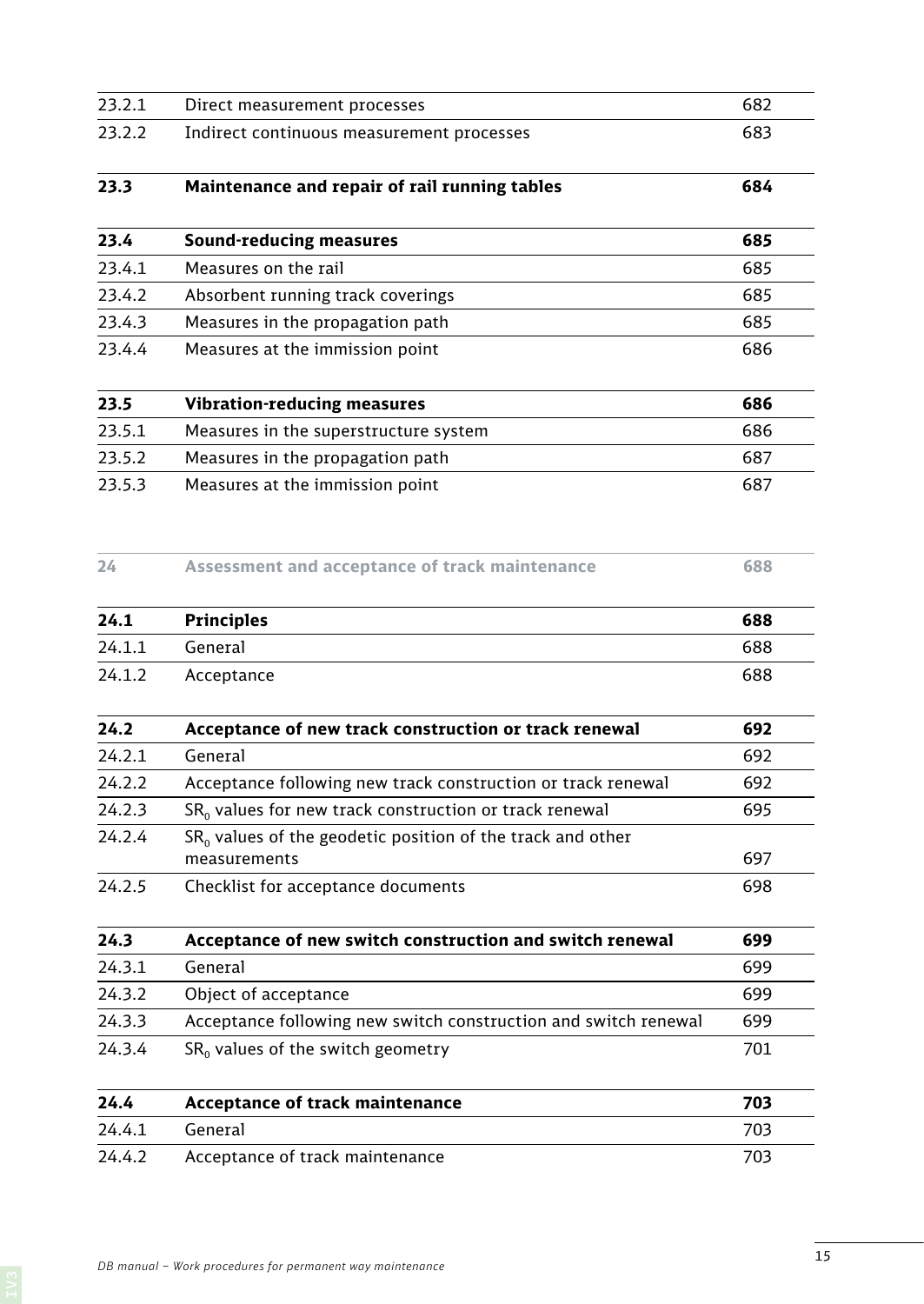| 23.2.1 | Direct measurement processes                                                 | 682 |
|--------|------------------------------------------------------------------------------|-----|
| 23.2.2 | Indirect continuous measurement processes                                    | 683 |
| 23.3   | Maintenance and repair of rail running tables                                | 684 |
| 23.4   | <b>Sound-reducing measures</b>                                               | 685 |
| 23.4.1 | Measures on the rail                                                         | 685 |
| 23.4.2 | Absorbent running track coverings                                            | 685 |
| 23.4.3 | Measures in the propagation path                                             | 685 |
| 23.4.4 | Measures at the immission point                                              | 686 |
| 23.5   | <b>Vibration-reducing measures</b>                                           | 686 |
| 23.5.1 | Measures in the superstructure system                                        | 686 |
| 23.5.2 | Measures in the propagation path                                             | 687 |
| 23.5.3 | Measures at the immission point                                              | 687 |
| 24     | Assessment and acceptance of track maintenance                               | 688 |
| 24.1   | <b>Principles</b>                                                            | 688 |
| 24.1.1 | General                                                                      | 688 |
| 24.1.2 | Acceptance                                                                   | 688 |
| 24.2   | Acceptance of new track construction or track renewal                        | 692 |
| 24.2.1 | General                                                                      | 692 |
| 24.2.2 | Acceptance following new track construction or track renewal                 | 692 |
| 24.2.3 | $SR0$ values for new track construction or track renewal                     | 695 |
| 24.2.4 | $SR0$ values of the geodetic position of the track and other<br>measurements | 697 |
| 24.2.5 | Checklist for acceptance documents                                           | 698 |
| 24.3   | Acceptance of new switch construction and switch renewal                     | 699 |
| 24.3.1 | General                                                                      | 699 |
| 24.3.2 | Object of acceptance                                                         | 699 |
| 24.3.3 | Acceptance following new switch construction and switch renewal              | 699 |
| 24.3.4 | $SR0$ values of the switch geometry                                          | 701 |
| 24.4   | Acceptance of track maintenance                                              | 703 |
| 24.4.1 | General                                                                      | 703 |
| 24.4.2 | Acceptance of track maintenance                                              | 703 |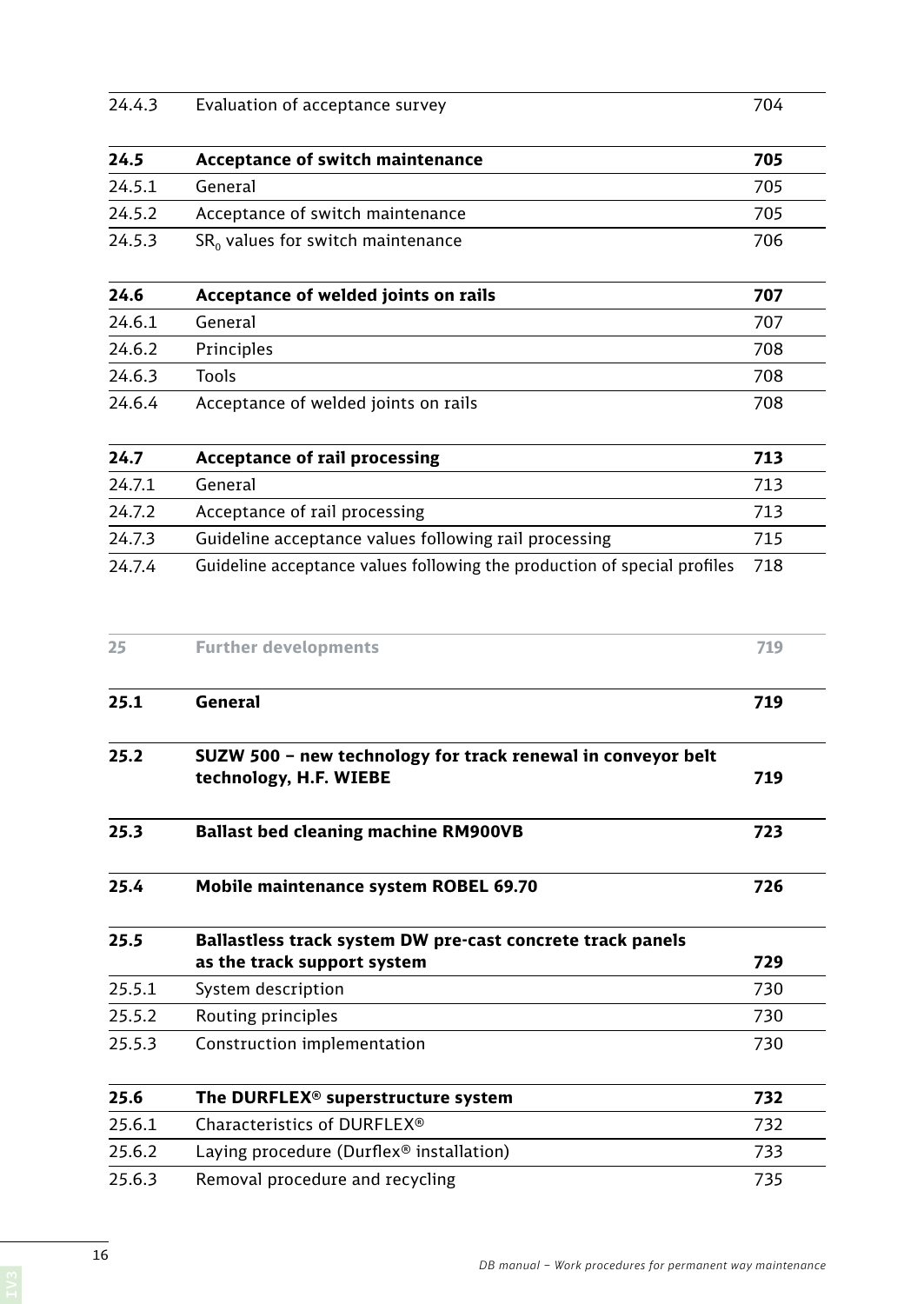| 24.5   | Acceptance of switch maintenance                                                          | 705 |
|--------|-------------------------------------------------------------------------------------------|-----|
| 24.5.1 | General                                                                                   | 705 |
| 24.5.2 | Acceptance of switch maintenance                                                          | 705 |
| 24.5.3 | $SR0$ values for switch maintenance                                                       | 706 |
| 24.6   | Acceptance of welded joints on rails                                                      | 707 |
| 24.6.1 | General                                                                                   | 707 |
| 24.6.2 | Principles                                                                                | 708 |
| 24.6.3 | <b>Tools</b>                                                                              | 708 |
| 24.6.4 | Acceptance of welded joints on rails                                                      | 708 |
| 24.7   | <b>Acceptance of rail processing</b>                                                      | 713 |
| 24.7.1 | General                                                                                   | 713 |
| 24.7.2 | Acceptance of rail processing                                                             | 713 |
| 24.7.3 | Guideline acceptance values following rail processing                                     | 715 |
| 24.7.4 | Guideline acceptance values following the production of special profiles                  | 718 |
| 25     | <b>Further developments</b>                                                               | 719 |
| 25.1   | General                                                                                   | 719 |
| 25.2   | SUZW 500 - new technology for track renewal in conveyor belt<br>technology, H.F. WIEBE    |     |
| 25.3   | <b>Ballast bed cleaning machine RM900VB</b>                                               | 723 |
| 25.4   | Mobile maintenance system ROBEL 69.70                                                     | 726 |
| 25.5   | Ballastless track system DW pre-cast concrete track panels<br>as the track support system | 729 |
| 25.5.1 | System description                                                                        | 730 |
|        |                                                                                           |     |
| 25.5.2 | Routing principles                                                                        | 730 |
| 25.5.3 | Construction implementation                                                               | 730 |
| 25.6   | The DURFLEX <sup>®</sup> superstructure system                                            | 732 |
| 25.6.1 | Characteristics of DURFLEX®                                                               | 732 |
| 25.6.2 | Laying procedure (Durflex® installation)                                                  | 733 |
| 25.6.3 | Removal procedure and recycling                                                           | 735 |

24.4.3 Evaluation of acceptance survey 704